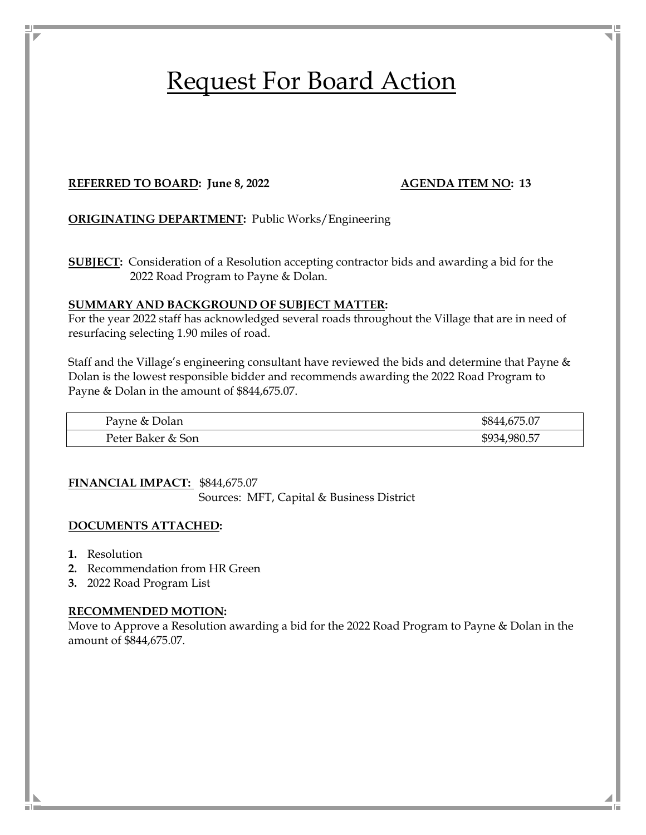# Request For Board Action

#### **REFERRED TO BOARD:** June 8, 2022 **AGENDA ITEM NO: 13**

**ORIGINATING DEPARTMENT:** Public Works/Engineering

**SUBJECT:** Consideration of a Resolution accepting contractor bids and awarding a bid for the 2022 Road Program to Payne & Dolan.

#### **SUMMARY AND BACKGROUND OF SUBJECT MATTER:**

For the year 2022 staff has acknowledged several roads throughout the Village that are in need of resurfacing selecting 1.90 miles of road.

Staff and the Village's engineering consultant have reviewed the bids and determine that Payne & Dolan is the lowest responsible bidder and recommends awarding the 2022 Road Program to Payne & Dolan in the amount of \$844,675.07.

| Payne & Dolan     | 5.07<br>\$844,        |
|-------------------|-----------------------|
| Peter Baker & Son | 980.57<br>\$9.<br>∣≺⊿ |

**FINANCIAL IMPACT:** \$844,675.07

Sources: MFT, Capital & Business District

#### **DOCUMENTS ATTACHED:**

- **1.** Resolution
- **2.** Recommendation from HR Green
- **3.** 2022 Road Program List

#### **RECOMMENDED MOTION:**

Move to Approve a Resolution awarding a bid for the 2022 Road Program to Payne & Dolan in the amount of \$844,675.07.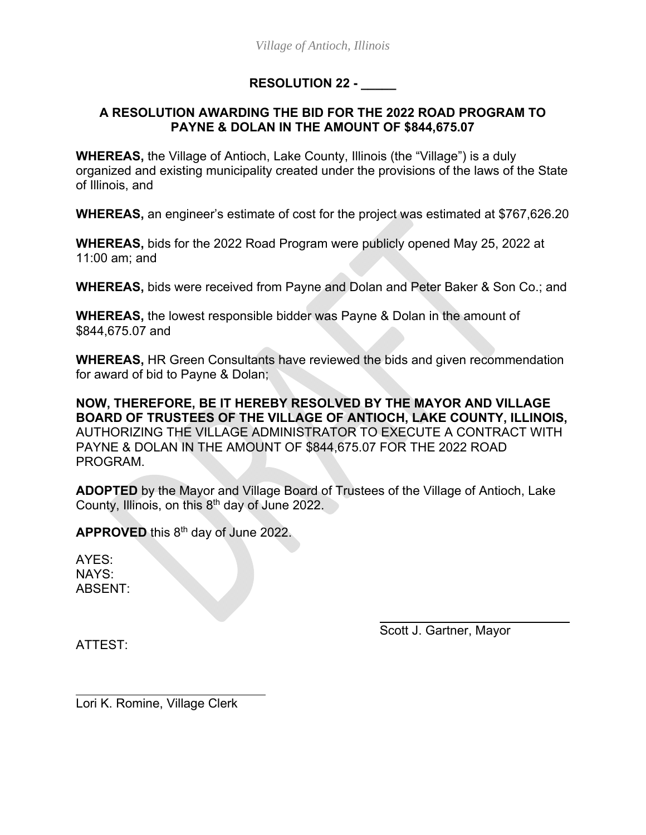## **RESOLUTION 22 - \_\_\_\_\_**

### **A RESOLUTION AWARDING THE BID FOR THE 2022 ROAD PROGRAM TO PAYNE & DOLAN IN THE AMOUNT OF \$844,675.07**

**WHEREAS,** the Village of Antioch, Lake County, Illinois (the "Village") is a duly organized and existing municipality created under the provisions of the laws of the State of Illinois, and

**WHEREAS,** an engineer's estimate of cost for the project was estimated at \$767,626.20

**WHEREAS,** bids for the 2022 Road Program were publicly opened May 25, 2022 at 11:00 am; and

**WHEREAS,** bids were received from Payne and Dolan and Peter Baker & Son Co.; and

**WHEREAS,** the lowest responsible bidder was Payne & Dolan in the amount of \$844,675.07 and

**WHEREAS,** HR Green Consultants have reviewed the bids and given recommendation for award of bid to Payne & Dolan;

**NOW, THEREFORE, BE IT HEREBY RESOLVED BY THE MAYOR AND VILLAGE BOARD OF TRUSTEES OF THE VILLAGE OF ANTIOCH, LAKE COUNTY, ILLINOIS,**  AUTHORIZING THE VILLAGE ADMINISTRATOR TO EXECUTE A CONTRACT WITH PAYNE & DOLAN IN THE AMOUNT OF \$844,675.07 FOR THE 2022 ROAD PROGRAM.

**ADOPTED** by the Mayor and Village Board of Trustees of the Village of Antioch, Lake County, Illinois, on this  $8<sup>th</sup>$  day of June 2022.

**APPROVED** this 8th day of June 2022.

AYES: NAYS: ABSENT:

Scott J. Gartner, Mayor

ATTEST:

 $\overline{a}$ 

Lori K. Romine, Village Clerk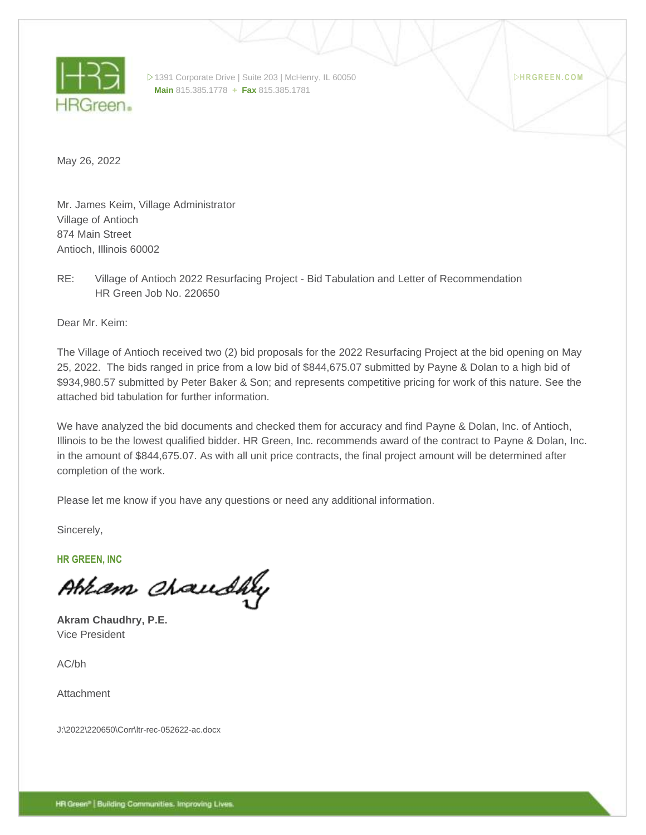

1391 Corporate Drive | Suite 203 | McHenry, IL 60050 **Main** 815.385.1778 **+ Fax** 815.385.1781

**H R GR E E N . C O M**

May 26, 2022

Mr. James Keim, Village Administrator Village of Antioch 874 Main Street Antioch, Illinois 60002

RE: Village of Antioch 2022 Resurfacing Project - Bid Tabulation and Letter of Recommendation HR Green Job No. 220650

Dear Mr. Keim:

The Village of Antioch received two (2) bid proposals for the 2022 Resurfacing Project at the bid opening on May 25, 2022. The bids ranged in price from a low bid of \$844,675.07 submitted by Payne & Dolan to a high bid of \$934,980.57 submitted by Peter Baker & Son; and represents competitive pricing for work of this nature. See the attached bid tabulation for further information.

We have analyzed the bid documents and checked them for accuracy and find Payne & Dolan, Inc. of Antioch, Illinois to be the lowest qualified bidder. HR Green, Inc. recommends award of the contract to Payne & Dolan, Inc. in the amount of \$844,675.07. As with all unit price contracts, the final project amount will be determined after completion of the work.

Please let me know if you have any questions or need any additional information.

Sincerely,

**HR GREEN, INC**

Abram Chaudhy

**Akram Chaudhry, P.E.** Vice President

AC/bh

Attachment

J:\2022\220650\Corr\ltr-rec-052622-ac.docx